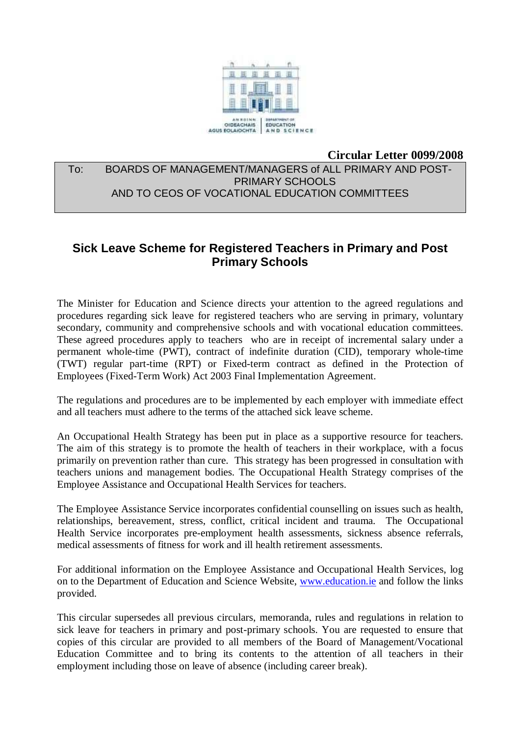

#### **Circular Letter 0099/2008**

## To: BOARDS OF MANAGEMENT/MANAGERS of ALL PRIMARY AND POST-PRIMARY SCHOOLS AND TO CEOS OF VOCATIONAL EDUCATION COMMITTEES

# **Sick Leave Scheme for Registered Teachers in Primary and Post Primary Schools**

The Minister for Education and Science directs your attention to the agreed regulations and procedures regarding sick leave for registered teachers who are serving in primary, voluntary secondary, community and comprehensive schools and with vocational education committees. These agreed procedures apply to teachers who are in receipt of incremental salary under a permanent whole-time (PWT), contract of indefinite duration (CID), temporary whole-time (TWT) regular part-time (RPT) or Fixed-term contract as defined in the Protection of Employees (Fixed-Term Work) Act 2003 Final Implementation Agreement.

The regulations and procedures are to be implemented by each employer with immediate effect and all teachers must adhere to the terms of the attached sick leave scheme.

An Occupational Health Strategy has been put in place as a supportive resource for teachers. The aim of this strategy is to promote the health of teachers in their workplace, with a focus primarily on prevention rather than cure. This strategy has been progressed in consultation with teachers unions and management bodies. The Occupational Health Strategy comprises of the Employee Assistance and Occupational Health Services for teachers.

The Employee Assistance Service incorporates confidential counselling on issues such as health, relationships, bereavement, stress, conflict, critical incident and trauma. The Occupational Health Service incorporates pre-employment health assessments, sickness absence referrals, medical assessments of fitness for work and ill health retirement assessments.

For additional information on the Employee Assistance and Occupational Health Services, log on to the Department of Education and Science Website, www.education.ie and follow the links provided.

This circular supersedes all previous circulars, memoranda, rules and regulations in relation to sick leave for teachers in primary and post-primary schools. You are requested to ensure that copies of this circular are provided to all members of the Board of Management/Vocational Education Committee and to bring its contents to the attention of all teachers in their employment including those on leave of absence (including career break).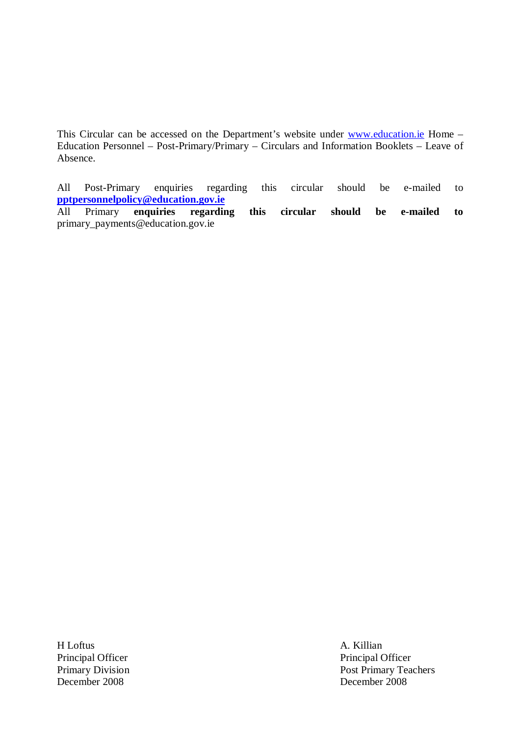This Circular can be accessed on the Department's website under www.education.ie Home -Education Personnel – Post-Primary/Primary – Circulars and Information Booklets – Leave of Absence.

All Post-Primary enquiries regarding this circular should be e-mailed to **pptpersonnelpolicy@education.gov.ie** 

All Primary **enquiries regarding this circular should be e-mailed to**  primary\_payments@education.gov.ie

H Loftus A. Killian Principal Officer<br>
Principal Officer<br>
Principal Officer<br>
Post Primary Tea December 2008 December 2008

Post Primary Teachers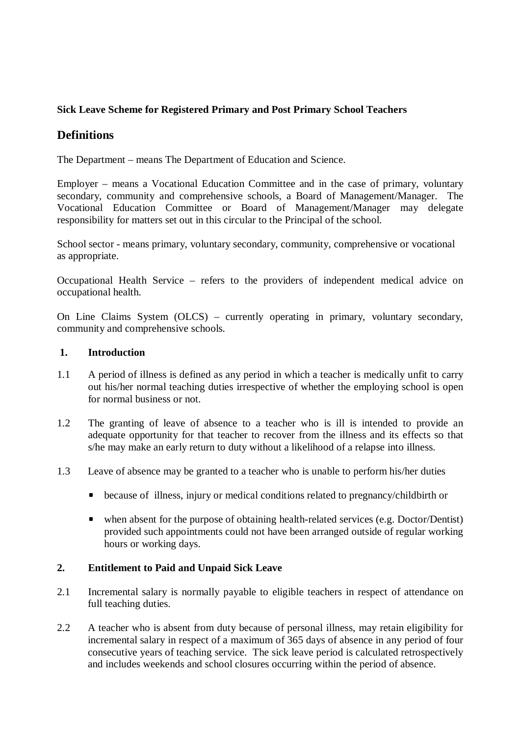## **Sick Leave Scheme for Registered Primary and Post Primary School Teachers**

## **Definitions**

The Department – means The Department of Education and Science.

Employer – means a Vocational Education Committee and in the case of primary, voluntary secondary, community and comprehensive schools, a Board of Management/Manager. The Vocational Education Committee or Board of Management/Manager may delegate responsibility for matters set out in this circular to the Principal of the school.

School sector - means primary, voluntary secondary, community, comprehensive or vocational as appropriate.

Occupational Health Service – refers to the providers of independent medical advice on occupational health.

On Line Claims System (OLCS) – currently operating in primary, voluntary secondary, community and comprehensive schools.

#### **1. Introduction**

- 1.1 A period of illness is defined as any period in which a teacher is medically unfit to carry out his/her normal teaching duties irrespective of whether the employing school is open for normal business or not.
- 1.2 The granting of leave of absence to a teacher who is ill is intended to provide an adequate opportunity for that teacher to recover from the illness and its effects so that s/he may make an early return to duty without a likelihood of a relapse into illness.
- 1.3 Leave of absence may be granted to a teacher who is unable to perform his/her duties
	- because of illness, injury or medical conditions related to pregnancy/childbirth or
	- when absent for the purpose of obtaining health-related services (e.g. Doctor/Dentist) provided such appointments could not have been arranged outside of regular working hours or working days.

#### **2. Entitlement to Paid and Unpaid Sick Leave**

- 2.1 Incremental salary is normally payable to eligible teachers in respect of attendance on full teaching duties.
- 2.2 A teacher who is absent from duty because of personal illness, may retain eligibility for incremental salary in respect of a maximum of 365 days of absence in any period of four consecutive years of teaching service. The sick leave period is calculated retrospectively and includes weekends and school closures occurring within the period of absence.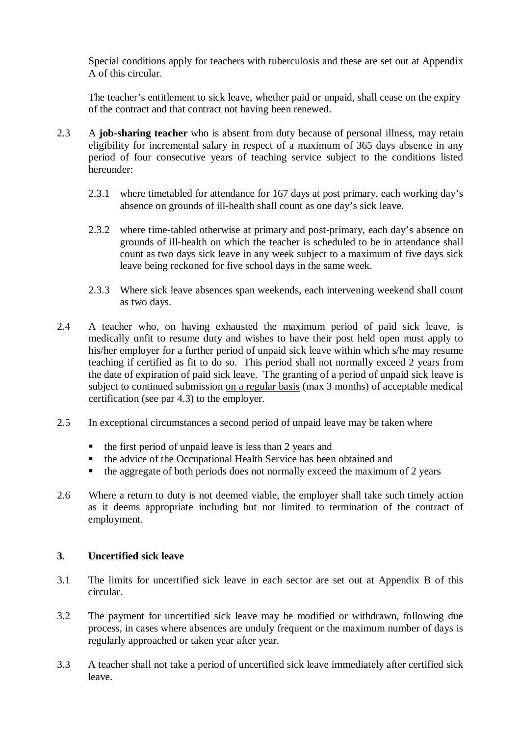Special conditions apply for teachers with tuberculosis and these are set out at Appendix A of this circular.

The teacher's entitlement to sick leave, whether paid or unpaid, shall cease on the expiry of the contract and that contract not having been renewed.

- 2.3 A **job-sharing teacher** who is absent from duty because of personal illness, may retain eligibility for incremental salary in respect of a maximum of 365 days absence in any period of four consecutive years of teaching service subject to the conditions listed hereunder:
	- 2.3.1 where timetabled for attendance for 167 days at post primary, each working day's absence on grounds of ill-health shall count as one day's sick leave.
	- 2.3.2 where time-tabled otherwise at primary and post-primary, each day's absence on grounds of ill-health on which the teacher is scheduled to be in attendance shall count as two days sick leave in any week subject to a maximum of five days sick leave being reckoned for five school days in the same week.
	- 2.3.3 Where sick leave absences span weekends, each intervening weekend shall count as two days.
- 2.4 A teacher who, on having exhausted the maximum period of paid sick leave, is medically unfit to resume duty and wishes to have their post held open must apply to his/her employer for a further period of unpaid sick leave within which s/he may resume teaching if certified as fit to do so. This period shall not normally exceed 2 years from the date of expiration of paid sick leave. The granting of a period of unpaid sick leave is subject to continued submission on a regular basis (max 3 months) of acceptable medical certification (see par 4.3) to the employer.
- 2.5 In exceptional circumstances a second period of unpaid leave may be taken where
	- the first period of unpaid leave is less than 2 years and
	- the advice of the Occupational Health Service has been obtained and
	- the aggregate of both periods does not normally exceed the maximum of 2 years
- 2.6 Where a return to duty is not deemed viable, the employer shall take such timely action as it deems appropriate including but not limited to termination of the contract of employment.

#### **3. Uncertified sick leave**

- 3.1 The limits for uncertified sick leave in each sector are set out at Appendix B of this circular.
- 3.2 The payment for uncertified sick leave may be modified or withdrawn, following due process, in cases where absences are unduly frequent or the maximum number of days is regularly approached or taken year after year.
- 3.3 A teacher shall not take a period of uncertified sick leave immediately after certified sick leave.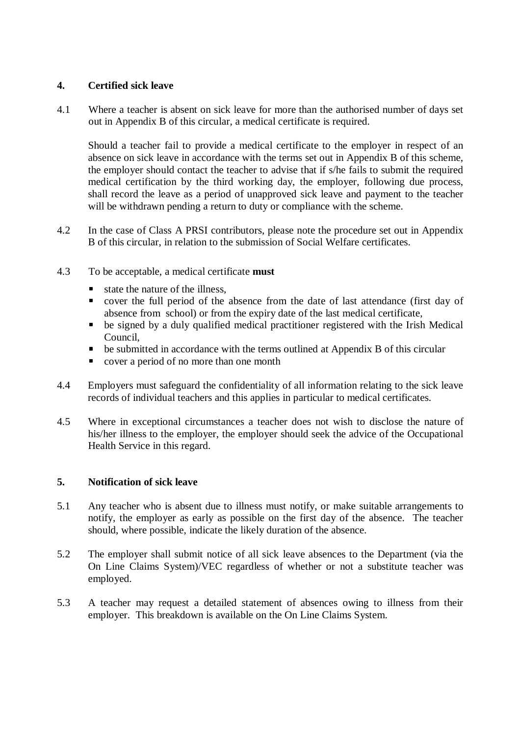## **4. Certified sick leave**

4.1 Where a teacher is absent on sick leave for more than the authorised number of days set out in Appendix B of this circular, a medical certificate is required.

 Should a teacher fail to provide a medical certificate to the employer in respect of an absence on sick leave in accordance with the terms set out in Appendix B of this scheme, the employer should contact the teacher to advise that if s/he fails to submit the required medical certification by the third working day, the employer, following due process, shall record the leave as a period of unapproved sick leave and payment to the teacher will be withdrawn pending a return to duty or compliance with the scheme.

- 4.2 In the case of Class A PRSI contributors, please note the procedure set out in Appendix B of this circular, in relation to the submission of Social Welfare certificates.
- 4.3 To be acceptable, a medical certificate **must**
	- state the nature of the illness,
	- cover the full period of the absence from the date of last attendance (first day of absence from school) or from the expiry date of the last medical certificate,
	- be signed by a duly qualified medical practitioner registered with the Irish Medical Council,
	- be submitted in accordance with the terms outlined at Appendix B of this circular
	- cover a period of no more than one month
- 4.4 Employers must safeguard the confidentiality of all information relating to the sick leave records of individual teachers and this applies in particular to medical certificates.
- 4.5 Where in exceptional circumstances a teacher does not wish to disclose the nature of his/her illness to the employer, the employer should seek the advice of the Occupational Health Service in this regard.

## **5. Notification of sick leave**

- 5.1 Any teacher who is absent due to illness must notify, or make suitable arrangements to notify, the employer as early as possible on the first day of the absence. The teacher should, where possible, indicate the likely duration of the absence.
- 5.2 The employer shall submit notice of all sick leave absences to the Department (via the On Line Claims System)/VEC regardless of whether or not a substitute teacher was employed.
- 5.3 A teacher may request a detailed statement of absences owing to illness from their employer. This breakdown is available on the On Line Claims System.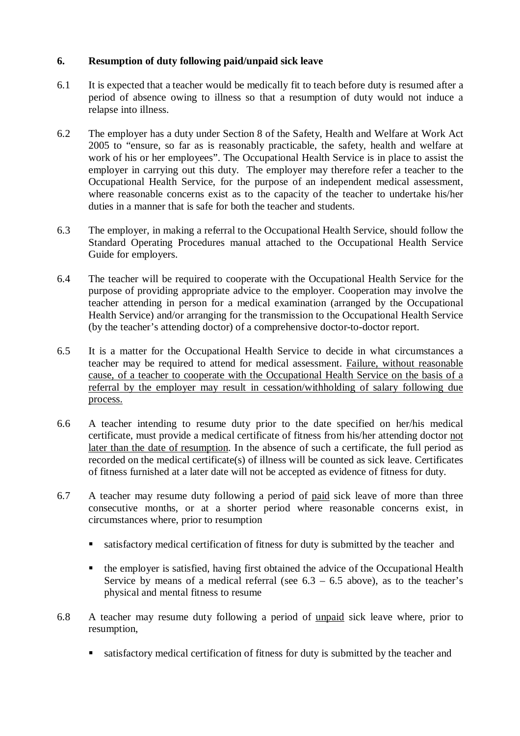## **6. Resumption of duty following paid/unpaid sick leave**

- 6.1 It is expected that a teacher would be medically fit to teach before duty is resumed after a period of absence owing to illness so that a resumption of duty would not induce a relapse into illness.
- 6.2 The employer has a duty under Section 8 of the Safety, Health and Welfare at Work Act 2005 to "ensure, so far as is reasonably practicable, the safety, health and welfare at work of his or her employees". The Occupational Health Service is in place to assist the employer in carrying out this duty. The employer may therefore refer a teacher to the Occupational Health Service, for the purpose of an independent medical assessment, where reasonable concerns exist as to the capacity of the teacher to undertake his/her duties in a manner that is safe for both the teacher and students.
- 6.3 The employer, in making a referral to the Occupational Health Service, should follow the Standard Operating Procedures manual attached to the Occupational Health Service Guide for employers.
- 6.4 The teacher will be required to cooperate with the Occupational Health Service for the purpose of providing appropriate advice to the employer. Cooperation may involve the teacher attending in person for a medical examination (arranged by the Occupational Health Service) and/or arranging for the transmission to the Occupational Health Service (by the teacher's attending doctor) of a comprehensive doctor-to-doctor report.
- 6.5 It is a matter for the Occupational Health Service to decide in what circumstances a teacher may be required to attend for medical assessment. Failure, without reasonable cause, of a teacher to cooperate with the Occupational Health Service on the basis of a referral by the employer may result in cessation/withholding of salary following due process.
- 6.6 A teacher intending to resume duty prior to the date specified on her/his medical certificate, must provide a medical certificate of fitness from his/her attending doctor not later than the date of resumption. In the absence of such a certificate, the full period as recorded on the medical certificate(s) of illness will be counted as sick leave. Certificates of fitness furnished at a later date will not be accepted as evidence of fitness for duty.
- 6.7 A teacher may resume duty following a period of paid sick leave of more than three consecutive months, or at a shorter period where reasonable concerns exist, in circumstances where, prior to resumption
	- satisfactory medical certification of fitness for duty is submitted by the teacher and
	- the employer is satisfied, having first obtained the advice of the Occupational Health Service by means of a medical referral (see  $6.3 - 6.5$  above), as to the teacher's physical and mental fitness to resume
- 6.8 A teacher may resume duty following a period of unpaid sick leave where, prior to resumption,
	- satisfactory medical certification of fitness for duty is submitted by the teacher and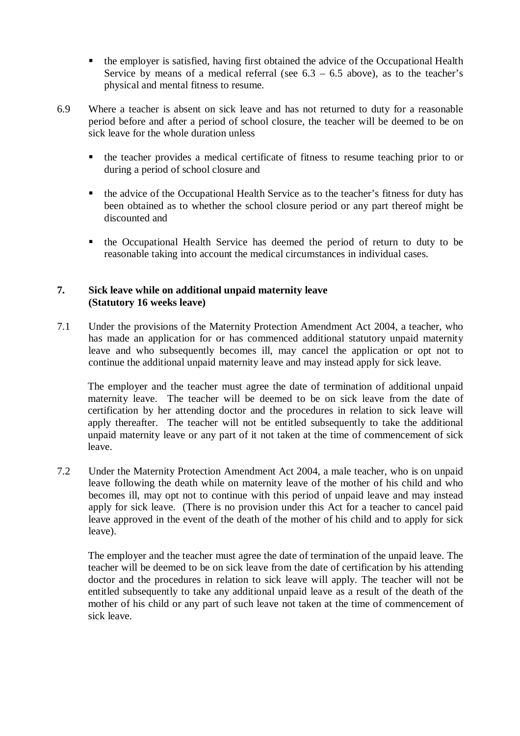- the employer is satisfied, having first obtained the advice of the Occupational Health Service by means of a medical referral (see  $6.3 - 6.5$  above), as to the teacher's physical and mental fitness to resume.
- 6.9 Where a teacher is absent on sick leave and has not returned to duty for a reasonable period before and after a period of school closure, the teacher will be deemed to be on sick leave for the whole duration unless
	- the teacher provides a medical certificate of fitness to resume teaching prior to or during a period of school closure and
	- the advice of the Occupational Health Service as to the teacher's fitness for duty has been obtained as to whether the school closure period or any part thereof might be discounted and
	- the Occupational Health Service has deemed the period of return to duty to be reasonable taking into account the medical circumstances in individual cases.

#### **7. Sick leave while on additional unpaid maternity leave (Statutory 16 weeks leave)**

7.1 Under the provisions of the Maternity Protection Amendment Act 2004, a teacher, who has made an application for or has commenced additional statutory unpaid maternity leave and who subsequently becomes ill, may cancel the application or opt not to continue the additional unpaid maternity leave and may instead apply for sick leave.

The employer and the teacher must agree the date of termination of additional unpaid maternity leave. The teacher will be deemed to be on sick leave from the date of certification by her attending doctor and the procedures in relation to sick leave will apply thereafter. The teacher will not be entitled subsequently to take the additional unpaid maternity leave or any part of it not taken at the time of commencement of sick leave.

7.2 Under the Maternity Protection Amendment Act 2004, a male teacher, who is on unpaid leave following the death while on maternity leave of the mother of his child and who becomes ill, may opt not to continue with this period of unpaid leave and may instead apply for sick leave. (There is no provision under this Act for a teacher to cancel paid leave approved in the event of the death of the mother of his child and to apply for sick leave).

The employer and the teacher must agree the date of termination of the unpaid leave. The teacher will be deemed to be on sick leave from the date of certification by his attending doctor and the procedures in relation to sick leave will apply. The teacher will not be entitled subsequently to take any additional unpaid leave as a result of the death of the mother of his child or any part of such leave not taken at the time of commencement of sick leave.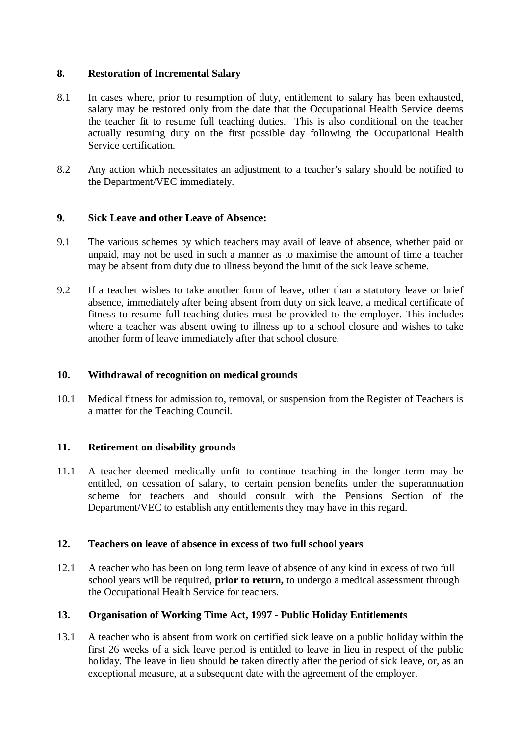#### **8. Restoration of Incremental Salary**

- 8.1 In cases where, prior to resumption of duty, entitlement to salary has been exhausted, salary may be restored only from the date that the Occupational Health Service deems the teacher fit to resume full teaching duties. This is also conditional on the teacher actually resuming duty on the first possible day following the Occupational Health Service certification.
- 8.2 Any action which necessitates an adjustment to a teacher's salary should be notified to the Department/VEC immediately.

#### **9. Sick Leave and other Leave of Absence:**

- 9.1 The various schemes by which teachers may avail of leave of absence, whether paid or unpaid, may not be used in such a manner as to maximise the amount of time a teacher may be absent from duty due to illness beyond the limit of the sick leave scheme.
- 9.2 If a teacher wishes to take another form of leave, other than a statutory leave or brief absence, immediately after being absent from duty on sick leave, a medical certificate of fitness to resume full teaching duties must be provided to the employer. This includes where a teacher was absent owing to illness up to a school closure and wishes to take another form of leave immediately after that school closure.

## **10. Withdrawal of recognition on medical grounds**

10.1 Medical fitness for admission to, removal, or suspension from the Register of Teachers is a matter for the Teaching Council.

## **11. Retirement on disability grounds**

11.1 A teacher deemed medically unfit to continue teaching in the longer term may be entitled, on cessation of salary, to certain pension benefits under the superannuation scheme for teachers and should consult with the Pensions Section of the Department/VEC to establish any entitlements they may have in this regard.

## **12. Teachers on leave of absence in excess of two full school years**

12.1 A teacher who has been on long term leave of absence of any kind in excess of two full school years will be required, **prior to return,** to undergo a medical assessment through the Occupational Health Service for teachers.

## **13. Organisation of Working Time Act, 1997 - Public Holiday Entitlements**

13.1 A teacher who is absent from work on certified sick leave on a public holiday within the first 26 weeks of a sick leave period is entitled to leave in lieu in respect of the public holiday. The leave in lieu should be taken directly after the period of sick leave, or, as an exceptional measure, at a subsequent date with the agreement of the employer.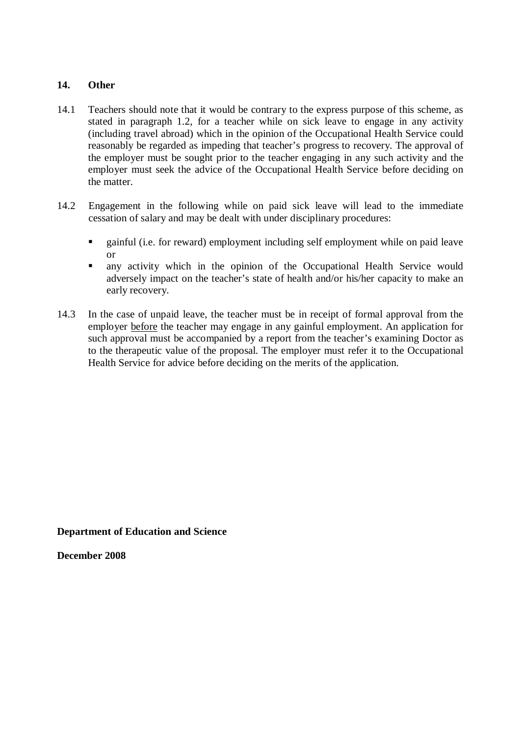#### **14. Other**

- 14.1 Teachers should note that it would be contrary to the express purpose of this scheme, as stated in paragraph 1.2, for a teacher while on sick leave to engage in any activity (including travel abroad) which in the opinion of the Occupational Health Service could reasonably be regarded as impeding that teacher's progress to recovery. The approval of the employer must be sought prior to the teacher engaging in any such activity and the employer must seek the advice of the Occupational Health Service before deciding on the matter.
- 14.2 Engagement in the following while on paid sick leave will lead to the immediate cessation of salary and may be dealt with under disciplinary procedures:
	- **Example 1** sainful (i.e. for reward) employment including self employment while on paid leave or
	- any activity which in the opinion of the Occupational Health Service would adversely impact on the teacher's state of health and/or his/her capacity to make an early recovery.
- 14.3 In the case of unpaid leave, the teacher must be in receipt of formal approval from the employer before the teacher may engage in any gainful employment. An application for such approval must be accompanied by a report from the teacher's examining Doctor as to the therapeutic value of the proposal. The employer must refer it to the Occupational Health Service for advice before deciding on the merits of the application.

**Department of Education and Science** 

**December 2008**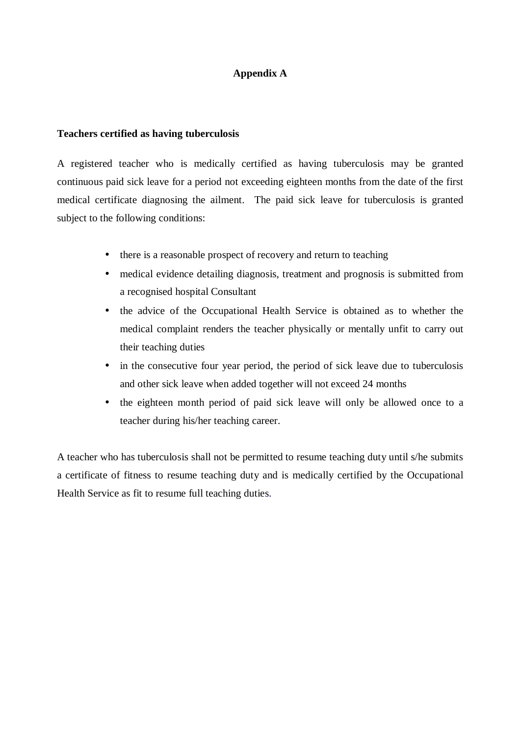#### **Appendix A**

#### **Teachers certified as having tuberculosis**

A registered teacher who is medically certified as having tuberculosis may be granted continuous paid sick leave for a period not exceeding eighteen months from the date of the first medical certificate diagnosing the ailment. The paid sick leave for tuberculosis is granted subject to the following conditions:

- there is a reasonable prospect of recovery and return to teaching
- medical evidence detailing diagnosis, treatment and prognosis is submitted from a recognised hospital Consultant
- the advice of the Occupational Health Service is obtained as to whether the medical complaint renders the teacher physically or mentally unfit to carry out their teaching duties
- in the consecutive four year period, the period of sick leave due to tuberculosis and other sick leave when added together will not exceed 24 months
- the eighteen month period of paid sick leave will only be allowed once to a teacher during his/her teaching career.

A teacher who has tuberculosis shall not be permitted to resume teaching duty until s/he submits a certificate of fitness to resume teaching duty and is medically certified by the Occupational Health Service as fit to resume full teaching duties.